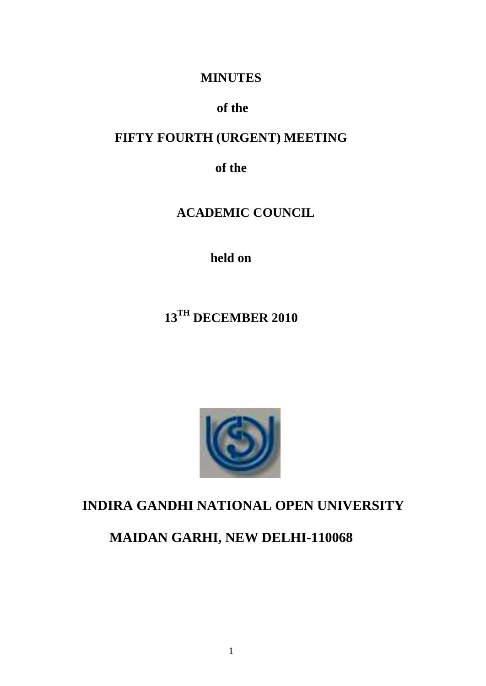### **MINUTES**

## **of the**

## **FIFTY FOURTH (URGENT) MEETING**

**of the**

# **ACADEMIC COUNCIL**

**held on**

# **13TH DECEMBER 2010**



## **INDIRA GANDHI NATIONAL OPEN UNIVERSITY**

# **MAIDAN GARHI, NEW DELHI-110068**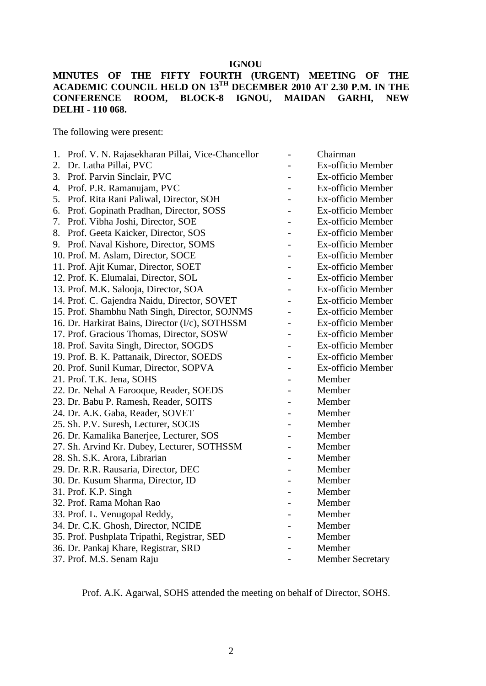### **IGNOU**

### **MINUTES OF THE FIFTY FOURTH (URGENT) MEETING OF THE ACADEMIC COUNCIL HELD ON 13TH DECEMBER 2010 AT 2.30 P.M. IN THE CONFERENCE ROOM, BLOCK-8 IGNOU, MAIDAN GARHI, NEW DELHI - 110 068.**

The following were present:

| 1. | Prof. V. N. Rajasekharan Pillai, Vice-Chancellor |                | Chairman                 |
|----|--------------------------------------------------|----------------|--------------------------|
| 2. | Dr. Latha Pillai, PVC                            |                | Ex-officio Member        |
| 3. | Prof. Parvin Sinclair, PVC                       |                | Ex-officio Member        |
| 4. | Prof. P.R. Ramanujam, PVC                        |                | Ex-officio Member        |
| 5. | Prof. Rita Rani Paliwal, Director, SOH           |                | Ex-officio Member        |
| 6. | Prof. Gopinath Pradhan, Director, SOSS           |                | Ex-officio Member        |
| 7. | Prof. Vibha Joshi, Director, SOE                 |                | Ex-officio Member        |
| 8. | Prof. Geeta Kaicker, Director, SOS               |                | Ex-officio Member        |
|    | 9. Prof. Naval Kishore, Director, SOMS           |                | Ex-officio Member        |
|    | 10. Prof. M. Aslam, Director, SOCE               |                | <b>Ex-officio Member</b> |
|    | 11. Prof. Ajit Kumar, Director, SOET             |                | Ex-officio Member        |
|    | 12. Prof. K. Elumalai, Director, SOL             |                | Ex-officio Member        |
|    | 13. Prof. M.K. Salooja, Director, SOA            |                | Ex-officio Member        |
|    | 14. Prof. C. Gajendra Naidu, Director, SOVET     |                | Ex-officio Member        |
|    | 15. Prof. Shambhu Nath Singh, Director, SOJNMS   | $\overline{a}$ | Ex-officio Member        |
|    | 16. Dr. Harkirat Bains, Director (I/c), SOTHSSM  | $\overline{a}$ | Ex-officio Member        |
|    | 17. Prof. Gracious Thomas, Director, SOSW        | $\overline{a}$ | Ex-officio Member        |
|    | 18. Prof. Savita Singh, Director, SOGDS          | $\overline{a}$ | Ex-officio Member        |
|    | 19. Prof. B. K. Pattanaik, Director, SOEDS       |                | Ex-officio Member        |
|    | 20. Prof. Sunil Kumar, Director, SOPVA           |                | Ex-officio Member        |
|    | 21. Prof. T.K. Jena, SOHS                        |                | Member                   |
|    | 22. Dr. Nehal A Farooque, Reader, SOEDS          |                | Member                   |
|    | 23. Dr. Babu P. Ramesh, Reader, SOITS            | $\overline{a}$ | Member                   |
|    | 24. Dr. A.K. Gaba, Reader, SOVET                 |                | Member                   |
|    | 25. Sh. P.V. Suresh, Lecturer, SOCIS             |                | Member                   |
|    | 26. Dr. Kamalika Banerjee, Lecturer, SOS         |                | Member                   |
|    | 27. Sh. Arvind Kr. Dubey, Lecturer, SOTHSSM      |                | Member                   |
|    | 28. Sh. S.K. Arora, Librarian                    |                | Member                   |
|    | 29. Dr. R.R. Rausaria, Director, DEC             |                | Member                   |
|    | 30. Dr. Kusum Sharma, Director, ID               |                | Member                   |
|    | 31. Prof. K.P. Singh                             |                | Member                   |
|    | 32. Prof. Rama Mohan Rao                         |                | Member                   |
|    | 33. Prof. L. Venugopal Reddy,                    |                | Member                   |
|    | 34. Dr. C.K. Ghosh, Director, NCIDE              |                | Member                   |
|    | 35. Prof. Pushplata Tripathi, Registrar, SED     |                | Member                   |
|    | 36. Dr. Pankaj Khare, Registrar, SRD             |                | Member                   |
|    | 37. Prof. M.S. Senam Raju                        |                | <b>Member Secretary</b>  |
|    |                                                  |                |                          |

Prof. A.K. Agarwal, SOHS attended the meeting on behalf of Director, SOHS.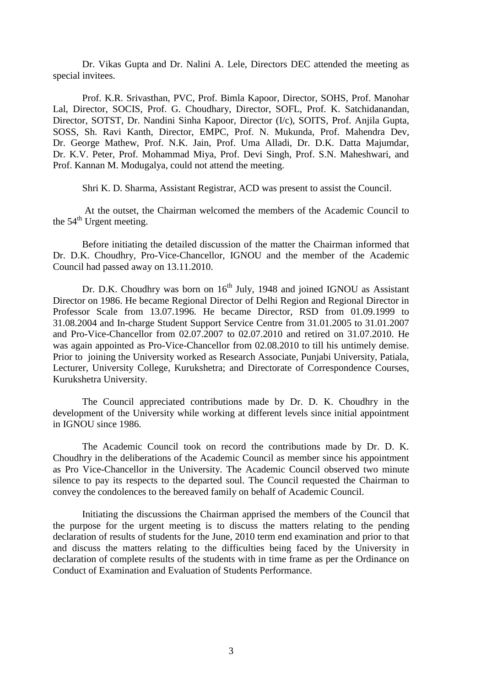Dr. Vikas Gupta and Dr. Nalini A. Lele, Directors DEC attended the meeting as special invitees.

Prof. K.R. Srivasthan, PVC, Prof. Bimla Kapoor, Director, SOHS, Prof. Manohar Lal, Director, SOCIS, Prof. G. Choudhary, Director, SOFL, Prof. K. Satchidanandan, Director, SOTST, Dr. Nandini Sinha Kapoor, Director (I/c), SOITS, Prof. Anjila Gupta, SOSS, Sh. Ravi Kanth, Director, EMPC, Prof. N. Mukunda, Prof. Mahendra Dev, Dr. George Mathew, Prof. N.K. Jain, Prof. Uma Alladi, Dr. D.K. Datta Majumdar, Dr. K.V. Peter, Prof. Mohammad Miya, Prof. Devi Singh, Prof. S.N. Maheshwari, and Prof. Kannan M. Modugalya, could not attend the meeting.

Shri K. D. Sharma, Assistant Registrar, ACD was present to assist the Council.

At the outset, the Chairman welcomed the members of the Academic Council to the 54<sup>th</sup> Urgent meeting.

Before initiating the detailed discussion of the matter the Chairman informed that Dr. D.K. Choudhry, Pro-Vice-Chancellor, IGNOU and the member of the Academic Council had passed away on 13.11.2010.

Dr. D.K. Choudhry was born on  $16<sup>th</sup>$  July, 1948 and joined IGNOU as Assistant Director on 1986. He became Regional Director of Delhi Region and Regional Director in Professor Scale from 13.07.1996. He became Director, RSD from 01.09.1999 to 31.08.2004 and In-charge Student Support Service Centre from 31.01.2005 to 31.01.2007 and Pro-Vice-Chancellor from 02.07.2007 to 02.07.2010 and retired on 31.07.2010. He was again appointed as Pro-Vice-Chancellor from 02.08.2010 to till his untimely demise. Prior to joining the University worked as Research Associate, Punjabi University, Patiala, Lecturer, University College, Kurukshetra; and Directorate of Correspondence Courses, Kurukshetra University.

The Council appreciated contributions made by Dr. D. K. Choudhry in the development of the University while working at different levels since initial appointment in IGNOU since 1986.

The Academic Council took on record the contributions made by Dr. D. K. Choudhry in the deliberations of the Academic Council as member since his appointment as Pro Vice-Chancellor in the University. The Academic Council observed two minute silence to pay its respects to the departed soul. The Council requested the Chairman to convey the condolences to the bereaved family on behalf of Academic Council.

Initiating the discussions the Chairman apprised the members of the Council that the purpose for the urgent meeting is to discuss the matters relating to the pending declaration of results of students for the June, 2010 term end examination and prior to that and discuss the matters relating to the difficulties being faced by the University in declaration of complete results of the students with in time frame as per the Ordinance on Conduct of Examination and Evaluation of Students Performance.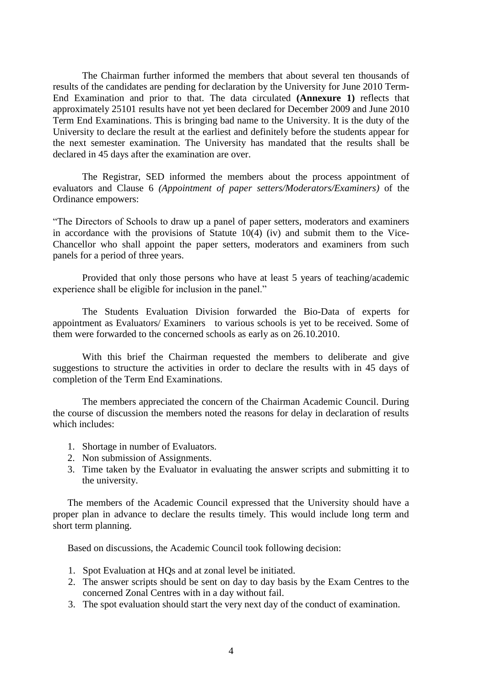The Chairman further informed the members that about several ten thousands of results of the candidates are pending for declaration by the University for June 2010 Term-End Examination and prior to that. The data circulated **(Annexure 1)** reflects that approximately 25101 results have not yet been declared for December 2009 and June 2010 Term End Examinations. This is bringing bad name to the University. It is the duty of the University to declare the result at the earliest and definitely before the students appear for the next semester examination. The University has mandated that the results shall be declared in 45 days after the examination are over.

The Registrar, SED informed the members about the process appointment of evaluators and Clause 6 *(Appointment of paper setters/Moderators/Examiners)* of the Ordinance empowers:

"The Directors of Schools to draw up a panel of paper setters, moderators and examiners in accordance with the provisions of Statute 10(4) (iv) and submit them to the Vice-Chancellor who shall appoint the paper setters, moderators and examiners from such panels for a period of three years.

Provided that only those persons who have at least 5 years of teaching/academic experience shall be eligible for inclusion in the panel."

The Students Evaluation Division forwarded the Bio-Data of experts for appointment as Evaluators/ Examiners to various schools is yet to be received. Some of them were forwarded to the concerned schools as early as on 26.10.2010.

With this brief the Chairman requested the members to deliberate and give suggestions to structure the activities in order to declare the results with in 45 days of completion of the Term End Examinations.

The members appreciated the concern of the Chairman Academic Council. During the course of discussion the members noted the reasons for delay in declaration of results which includes:

- 1. Shortage in number of Evaluators.
- 2. Non submission of Assignments.
- 3. Time taken by the Evaluator in evaluating the answer scripts and submitting it to the university.

The members of the Academic Council expressed that the University should have a proper plan in advance to declare the results timely. This would include long term and short term planning.

Based on discussions, the Academic Council took following decision:

- 1. Spot Evaluation at HQs and at zonal level be initiated.
- 2. The answer scripts should be sent on day to day basis by the Exam Centres to the concerned Zonal Centres with in a day without fail.
- 3. The spot evaluation should start the very next day of the conduct of examination.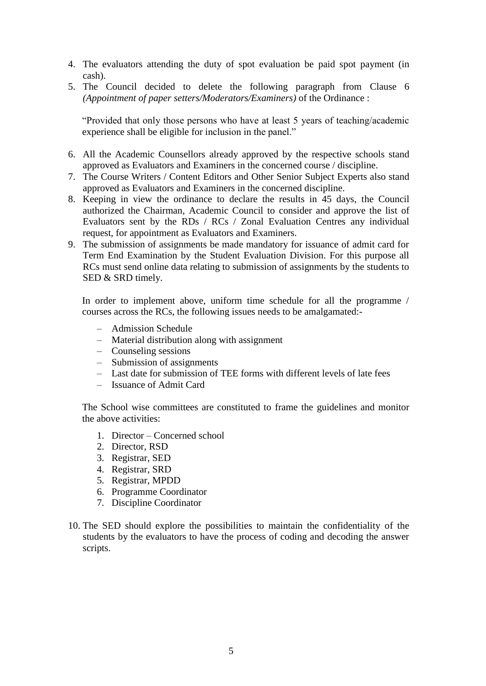- 4. The evaluators attending the duty of spot evaluation be paid spot payment (in cash).
- 5. The Council decided to delete the following paragraph from Clause 6 *(Appointment of paper setters/Moderators/Examiners)* of the Ordinance :

"Provided that only those persons who have at least 5 years of teaching/academic experience shall be eligible for inclusion in the panel."

- 6. All the Academic Counsellors already approved by the respective schools stand approved as Evaluators and Examiners in the concerned course / discipline.
- 7. The Course Writers / Content Editors and Other Senior Subject Experts also stand approved as Evaluators and Examiners in the concerned discipline.
- 8. Keeping in view the ordinance to declare the results in 45 days, the Council authorized the Chairman, Academic Council to consider and approve the list of Evaluators sent by the RDs / RCs / Zonal Evaluation Centres any individual request, for appointment as Evaluators and Examiners.
- 9. The submission of assignments be made mandatory for issuance of admit card for Term End Examination by the Student Evaluation Division. For this purpose all RCs must send online data relating to submission of assignments by the students to SED & SRD timely.

In order to implement above, uniform time schedule for all the programme / courses across the RCs, the following issues needs to be amalgamated:-

- Admission Schedule
- Material distribution along with assignment
- Counseling sessions
- Submission of assignments
- Last date for submission of TEE forms with different levels of late fees
- Issuance of Admit Card

The School wise committees are constituted to frame the guidelines and monitor the above activities:

- 1. Director Concerned school
- 2. Director, RSD
- 3. Registrar, SED
- 4. Registrar, SRD
- 5. Registrar, MPDD
- 6. Programme Coordinator
- 7. Discipline Coordinator
- 10. The SED should explore the possibilities to maintain the confidentiality of the students by the evaluators to have the process of coding and decoding the answer scripts.